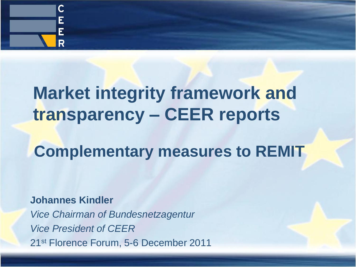

# **Market integrity framework and transparency – CEER reports**

## **Complementary measures to REMIT**

#### **Johannes Kindler**

*Vice Chairman of Bundesnetzagentur Vice President of CEER* 21st Florence Forum, 5-6 December 2011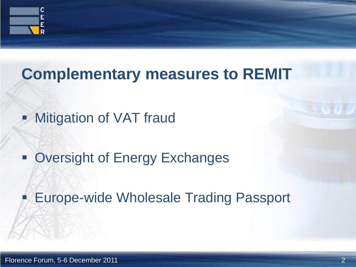

## **Complementary measures to REMIT**

- **Mitigation of VAT fraud**
- **Oversight of Energy Exchanges**

Europe-wide Wholesale Trading Passport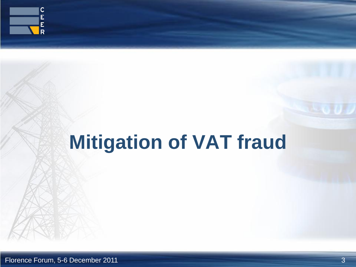

# **Mitigation of VAT fraud**

Florence Forum, 5-6 December 2011 3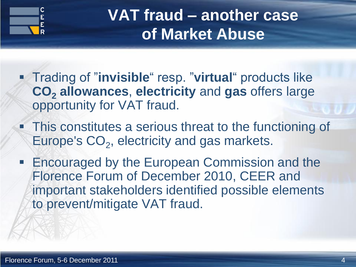

## **VAT fraud – another case of Market Abuse**

- Trading of "**invisible**" resp. "**virtual**" products like **CO<sup>2</sup> allowances**, **electricity** and **gas** offers large opportunity for VAT fraud.
- **This constitutes a serious threat to the functioning of** Europe's  $CO<sub>2</sub>$ , electricity and gas markets.
- **Encouraged by the European Commission and the** Florence Forum of December 2010, CEER and important stakeholders identified possible elements to prevent/mitigate VAT fraud.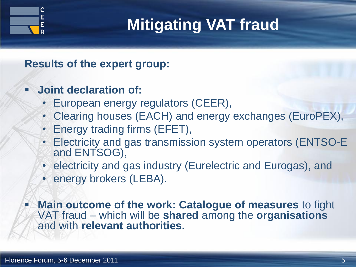

## **Mitigating VAT fraud**

**Results of the expert group:**

- **Joint declaration of:**
	- European energy regulators (CEER),
	- Clearing houses (EACH) and energy exchanges (EuroPEX),
	- Energy trading firms (EFET),
	- Electricity and gas transmission system operators (ENTSO-E and ENTSOG),
	- electricity and gas industry (Eurelectric and Eurogas), and
	- energy brokers (LEBA).

 **Main outcome of the work: Catalogue of measures** to fight VAT fraud – which will be **shared** among the **organisations**  and with **relevant authorities.**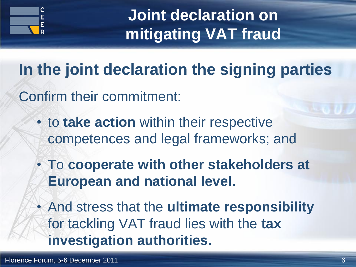

**Joint declaration on mitigating VAT fraud**

**In the joint declaration the signing parties**

Confirm their commitment:

- to **take action** within their respective competences and legal frameworks; and
- To **cooperate with other stakeholders at European and national level.**
- And stress that the **ultimate responsibility** for tackling VAT fraud lies with the **tax investigation authorities.**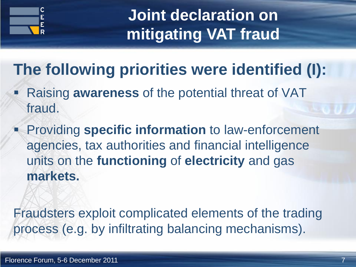

**Joint declaration on mitigating VAT fraud**

# **The following priorities were identified (I):**

- Raising **awareness** of the potential threat of VAT fraud.
- **Providing specific information** to law-enforcement agencies, tax authorities and financial intelligence units on the **functioning** of **electricity** and gas **markets.**

Fraudsters exploit complicated elements of the trading process (e.g. by infiltrating balancing mechanisms).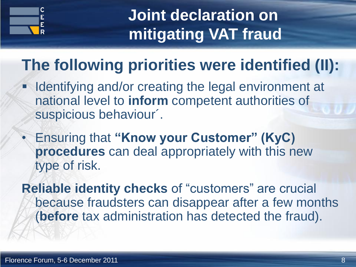

**Joint declaration on mitigating VAT fraud**

## **The following priorities were identified (II):**

- Identifying and/or creating the legal environment at national level to **inform** competent authorities of suspicious behaviour´.
- Ensuring that **"Know your Customer" (KyC) procedures** can deal appropriately with this new type of risk.

**Reliable identity checks** of "customers" are crucial because fraudsters can disappear after a few months (**before** tax administration has detected the fraud).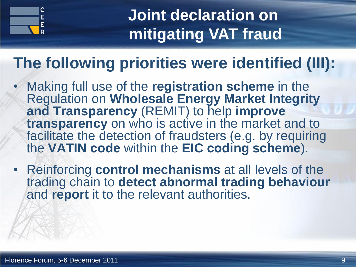

## **Joint declaration on mitigating VAT fraud**

## **The following priorities were identified (III):**

- Making full use of the **registration scheme** in the Regulation on **Wholesale Energy Market Integrity and Transparency** (REMIT) to help **improve transparency** on who is active in the market and to facilitate the detection of fraudsters (e.g. by requiring the **VATIN code** within the **EIC coding scheme**).
- Reinforcing **control mechanisms** at all levels of the trading chain to **detect abnormal trading behaviour** and **report** it to the relevant authorities.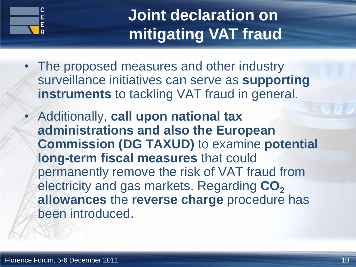

## **Joint declaration on mitigating VAT fraud**

- The proposed measures and other industry surveillance initiatives can serve as **supporting instruments** to tackling VAT fraud in general.
- Additionally, **call upon national tax administrations and also the European Commission (DG TAXUD)** to examine **potential long-term fiscal measures** that could permanently remove the risk of VAT fraud from electricity and gas markets. Regarding **CO<sup>2</sup> allowances** the **reverse charge** procedure has been introduced.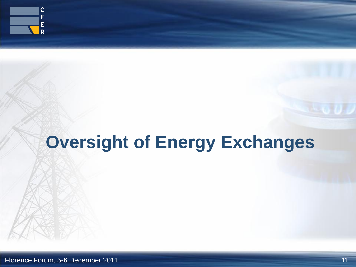

# **Oversight of Energy Exchanges**

Florence Forum, 5-6 December 2011 11 and 10 and 10 and 11 and 11 and 11 and 11 and 11 and 11 and 11 and 11 and 11 and 11 and 11 and 11 and 11 and 11 and 11 and 11 and 11 and 11 and 11 and 11 and 11 and 11 and 11 and 11 and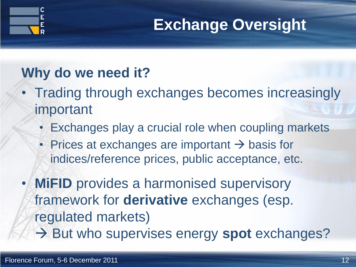

## **Exchange Oversight**

### **Why do we need it?**

- Trading through exchanges becomes increasingly important
	- Exchanges play a crucial role when coupling markets
	- Prices at exchanges are important  $\rightarrow$  basis for indices/reference prices, public acceptance, etc.

• **MiFID** provides a harmonised supervisory framework for **derivative** exchanges (esp. regulated markets) → But who supervises energy spot exchanges?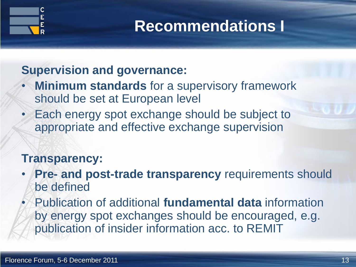

## **Recommendations I**

#### **Supervision and governance:**

- **Minimum standards** for a supervisory framework should be set at European level
- Each energy spot exchange should be subject to appropriate and effective exchange supervision

#### **Transparency:**

- **Pre- and post-trade transparency** requirements should be defined
	- Publication of additional **fundamental data** information by energy spot exchanges should be encouraged, e.g. publication of insider information acc. to REMIT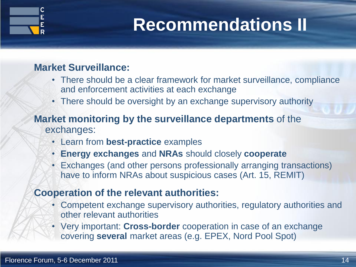

# **Recommendations II**

#### **Market Surveillance:**

- There should be a clear framework for market surveillance, compliance and enforcement activities at each exchange
- There should be oversight by an exchange supervisory authority

#### **Market monitoring by the surveillance departments** of the exchanges:

- Learn from **best-practice** examples
- **Energy exchanges** and **NRAs** should closely **cooperate**
- Exchanges (and other persons professionally arranging transactions) have to inform NRAs about suspicious cases (Art. 15, REMIT)

#### **Cooperation of the relevant authorities:**

- Competent exchange supervisory authorities, regulatory authorities and other relevant authorities
- Very important: **Cross-border** cooperation in case of an exchange covering **several** market areas (e.g. EPEX, Nord Pool Spot)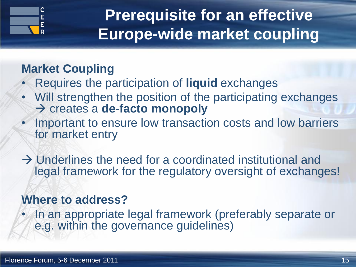

## **Prerequisite for an effective Europe-wide market coupling**

### **Market Coupling**

- Requires the participation of **liquid** exchanges
- Will strengthen the position of the participating exchanges creates a **de-facto monopoly**
- Important to ensure low transaction costs and low barriers for market entry
- $\rightarrow$  Underlines the need for a coordinated institutional and legal framework for the regulatory oversight of exchanges!

#### **Where to address?**

• In an appropriate legal framework (preferably separate or e.g. within the governance quidelines)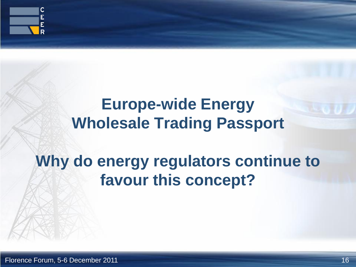

## **Europe-wide Energy Wholesale Trading Passport**

## **Why do energy regulators continue to favour this concept?**

Florence Forum, 5-6 December 2011 16 and the state of the state of the state of the state of the state of the state of the state of the state of the state of the state of the state of the state of the state of the state of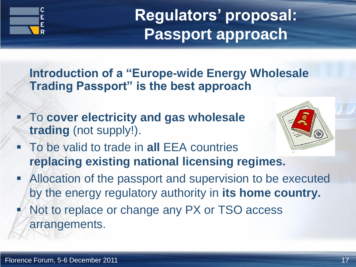

**Regulators' proposal: Passport approach**

**Introduction of a "Europe-wide Energy Wholesale Trading Passport" is the best approach**

 To **cover electricity and gas wholesale trading** (not supply!).



- To be valid to trade in **all** EEA countries **replacing existing national licensing regimes.**
- Allocation of the passport and supervision to be executed by the energy regulatory authority in **its home country.**
- Not to replace or change any PX or TSO access arrangements.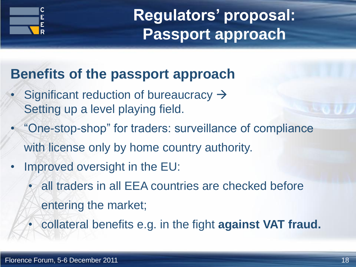

**Regulators' proposal: Passport approach**

### **Benefits of the passport approach**

- Significant reduction of bureaucracy  $\rightarrow$ Setting up a level playing field.
- "One-stop-shop" for traders: surveillance of compliance with license only by home country authority.
- Improved oversight in the EU:
	- all traders in all EEA countries are checked before entering the market;
	- collateral benefits e.g. in the fight **against VAT fraud.**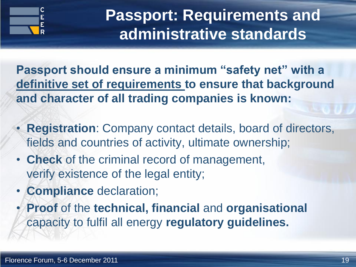

## **Passport: Requirements and administrative standards**

**Passport should ensure a minimum "safety net" with a definitive set of requirements to ensure that background and character of all trading companies is known:**

- **Registration**: Company contact details, board of directors, fields and countries of activity, ultimate ownership;
- **Check** of the criminal record of management, verify existence of the legal entity;
- **Compliance** declaration;
- **Proof** of the **technical, financial** and **organisational** capacity to fulfil all energy **regulatory guidelines.**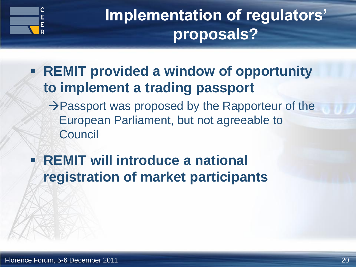

## **Implementation of regulators' proposals?**

- **REMIT provided a window of opportunity to implement a trading passport** 
	- $\rightarrow$  Passport was proposed by the Rapporteur of the European Parliament, but not agreeable to **Council**
- **REMIT will introduce a national registration of market participants**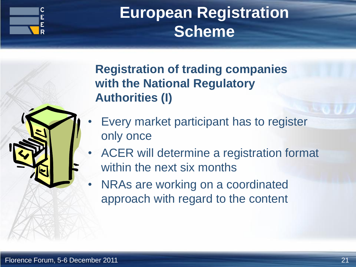

## **European Registration Scheme**

**Registration of trading companies with the National Regulatory Authorities (I)**

- Every market participant has to register only once
- ACER will determine a registration format within the next six months
- NRAs are working on a coordinated approach with regard to the content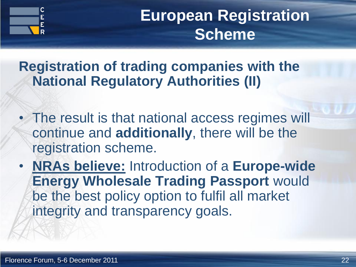

**European Registration Scheme**

**Registration of trading companies with the National Regulatory Authorities (II)**

- The result is that national access regimes will continue and **additionally**, there will be the registration scheme.
- **NRAs believe:** Introduction of a **Europe-wide Energy Wholesale Trading Passport** would be the best policy option to fulfil all market integrity and transparency goals.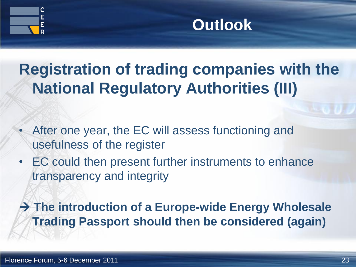



## **Registration of trading companies with the National Regulatory Authorities (III)**

- After one year, the EC will assess functioning and usefulness of the register
- EC could then present further instruments to enhance transparency and integrity

 **The introduction of a Europe-wide Energy Wholesale Trading Passport should then be considered (again)**